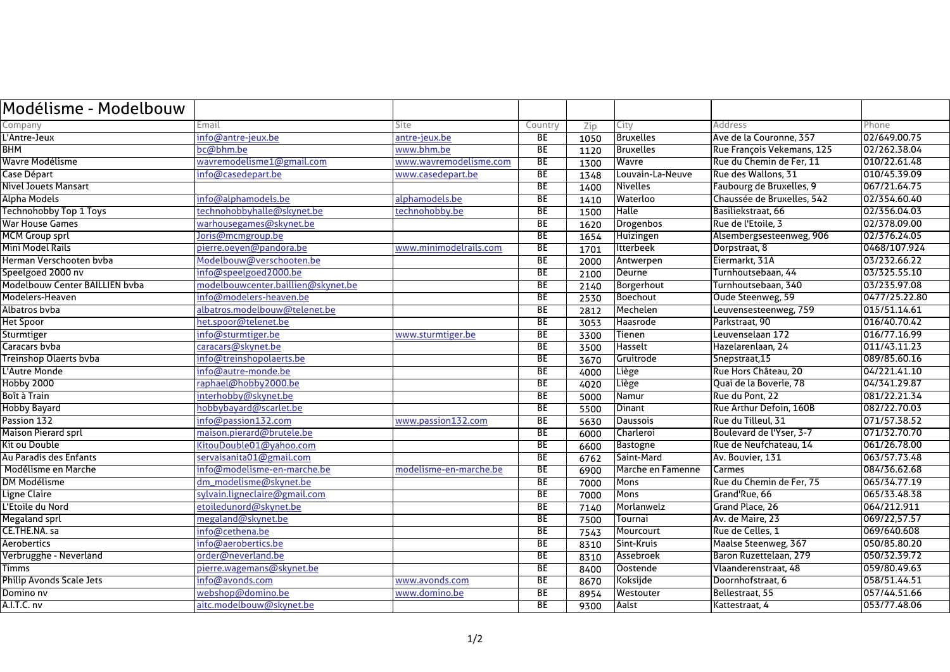| Modélisme - Modelbouw           |                                    |                        |                 |      |                   |                            |               |
|---------------------------------|------------------------------------|------------------------|-----------------|------|-------------------|----------------------------|---------------|
| Company                         | Email                              | Site                   | Country         | Zip  | City              | Address                    | Phone         |
| L'Antre-Jeux                    | info@antre-jeux.be                 | antre-jeux.be          | BE              | 1050 | <b>Bruxelles</b>  | Ave de la Couronne, 357    | 02/649.00.75  |
| <b>BHM</b>                      | bc@bhm.be                          | www.bhm.be             | <b>BE</b>       | 1120 | <b>Bruxelles</b>  | Rue François Vekemans, 125 | 02/262.38.04  |
| Wavre Modélisme                 | wavremodelisme1@gmail.com          | www.wavremodelisme.com | <b>BE</b>       | 1300 | Wavre             | Rue du Chemin de Fer, 11   | 010/22.61.48  |
| Case Départ                     | info@casedepart.be                 | www.casedepart.be      | BE              | 1348 | Louvain-La-Neuve  | <b>Rue des Wallons, 31</b> | 010/45.39.09  |
| <b>Nivel Jouets Mansart</b>     |                                    |                        | <b>BE</b>       | 1400 | Nivelles          | Faubourg de Bruxelles, 9   | 067/21.64.75  |
| Alpha Models                    | info@alphamodels.be                | alphamodels.be         | <b>BE</b>       | 1410 | Waterloo          | Chaussée de Bruxelles, 542 | 02/354.60.40  |
| <b>Technohobby Top 1 Toys</b>   | technohobbyhalle@skynet.be         | technohobby.be         | BE              | 1500 | <b>Halle</b>      | Basiliekstraat, 66         | 02/356.04.03  |
| <b>War House Games</b>          | warhousegames@skynet.be            |                        | BE              | 1620 | Drogenbos         | Rue de l'Etoile, 3         | 02/378.09.00  |
| <b>MCM Group sprl</b>           | Joris@mcmgroup.be                  |                        | BF              | 1654 | <b>Huizingen</b>  | Alsembergsesteenweg, 906   | 02/376.24.05  |
| Mini Model Rails                | pierre.oeven@pandora.be            | www.minimodelrails.com | <b>BE</b>       | 1701 | <b>Itterbeek</b>  | Dorpstraat, 8              | 0468/107.924  |
| Herman Verschooten bvba         | Modelbouw@verschooten.be           |                        | <b>BE</b>       | 2000 | Antwerpen         | Eiermarkt, 31A             | 03/232.66.22  |
| Speelgoed 2000 nv               | info@speelgoed2000.be              |                        | <b>BE</b>       | 2100 | Deurne            | Turnhoutsebaan, 44         | 03/325.55.10  |
| Modelbouw Center BAILLIEN bvba  | modelbouwcenter.baillien@skynet.be |                        | <b>BE</b>       | 2140 | Borgerhout        | Turnhoutsebaan, 340        | 03/235.97.08  |
| Modelers-Heaven                 | info@modelers-heaven.be            |                        | BE              | 2530 | Boechout          | Oude Steenweg, 59          | 0477/25.22.80 |
| Albatros bvba                   | albatros.modelbouw@telenet.be      |                        | <b>BE</b>       | 2812 | Mechelen          | Leuvensesteenweg, 759      | 015/51.14.61  |
| <b>Het Spoor</b>                | het.spoor@telenet.be               |                        | <b>BE</b>       | 3053 | Haasrode          | Parkstraat, 90             | 016/40.70.42  |
| <b>Sturmtiger</b>               | info@sturmtiger.be                 | www.sturmtiger.be      | BE              | 3300 | Tienen            | Leuvenselaan 172           | 016/77.16.99  |
| Caracars byba                   | caracars@skynet.be                 |                        | BE              | 3500 | Hasselt           | Hazelarenlaan, 24          | 011/43.11.23  |
| <b>Treinshop Olaerts bvba</b>   | info@treinshopolaerts.be           |                        | <b>BE</b>       | 3670 | Gruitrode         | Snepstraat, 15             | 089/85.60.16  |
| L'Autre Monde                   | info@autre-monde.be                |                        | <b>BE</b>       | 4000 | Liège             | Rue Hors Château, 20       | 04/221.41.10  |
| <b>Hobby 2000</b>               | raphael@hobby2000.be               |                        | <b>BE</b>       | 4020 | Liège             | Quai de la Boverie, 78     | 04/341.29.87  |
| Boît à Train                    | interhobby@skynet.be               |                        | <b>BE</b>       | 5000 | Namur             | Rue du Pont, 22            | 081/22.21.34  |
| <b>Hobby Bayard</b>             | hobbybayard@scarlet.be             |                        | <b>BE</b>       | 5500 | <b>Dinant</b>     | Rue Arthur Defoin, 160B    | 082/22.70.03  |
| Passion 132                     | info@passion132.com                | www.passion132.com     | <b>BE</b>       | 5630 | <b>Daussois</b>   | Rue du Tilleul, 31         | 071/57.38.52  |
| <b>Maison Pierard sprl</b>      | maison.pierard@brutele.be          |                        | $\overline{BE}$ | 6000 | Charleroi         | Boulevard de l'Yser, 3-7   | 071/32.70.70  |
| Kit ou Double                   | KitouDouble01@yahoo.com            |                        | $\overline{BE}$ | 6600 | Bastogne          | Rue de Neufchateau, 14     | 061/26.78.00  |
| Au Paradis des Enfants          | servaisanita 01@gmail.com          |                        | $\overline{BE}$ | 6762 | Saint-Mard        | Av. Bouvier, 131           | 063/57.73.48  |
| Modélisme en Marche             | info@modelisme-en-marche.be        | modelisme-en-marche.be | BE              | 6900 | Marche en Famenne | Carmes                     | 084/36.62.68  |
| <b>DM Modélisme</b>             | dm_modelisme@skynet.be             |                        | <b>BE</b>       | 7000 | Mons              | Rue du Chemin de Fer, 75   | 065/34.77.19  |
| Ligne Claire                    | sylvain.ligneclaire@gmail.com      |                        | <b>BE</b>       | 7000 | <b>Mons</b>       | Grand'Rue, 66              | 065/33.48.38  |
| L'Etoile du Nord                | etoiledunord@skynet.be             |                        | <b>BE</b>       | 7140 | Morlanwelz        | Grand Place, 26            | 064/212.911   |
| <b>Megaland sprl</b>            | megaland@skynet.be                 |                        | <b>BE</b>       | 7500 | Tournai           | Av. de Maire, 23           | 069/22,57.57  |
| CE.THE.NA. sa                   | info@cethena.be                    |                        | <b>BE</b>       | 7543 | Mourcourt         | Rue de Celles, 1           | 069/640.608   |
| Aerobertics                     | info@aerobertics.be                |                        | BE              | 8310 | Sint-Kruis        | Maalse Steenweg, 367       | 050/85.80.20  |
| Verbrugghe - Neverland          | order@neverland.be                 |                        | <b>BE</b>       | 8310 | Assebroek         | Baron Ruzettelaan, 279     | 050/32.39.72  |
| <b>Timms</b>                    | pierre.wagemans@skynet.be          |                        | $\overline{BE}$ | 8400 | <b>Oostende</b>   | Vlaanderenstraat, 48       | 059/80.49.63  |
| <b>Philip Avonds Scale Jets</b> | info@avonds.com                    | www.avonds.com         | BE              | 8670 | Koksijde          | Doornhofstraat, 6          | 058/51.44.51  |
| Domino nv                       | webshop@domino.be                  | www.domino.be          | <b>BE</b>       | 8954 | Westouter         | Bellestraat, 55            | 057/44.51.66  |
| <b>A.I.T.C. nv</b>              | aitc.modelbouw@skynet.be           |                        | <b>BE</b>       | 9300 | Aalst             | Kattestraat, 4             | 053/77.48.06  |